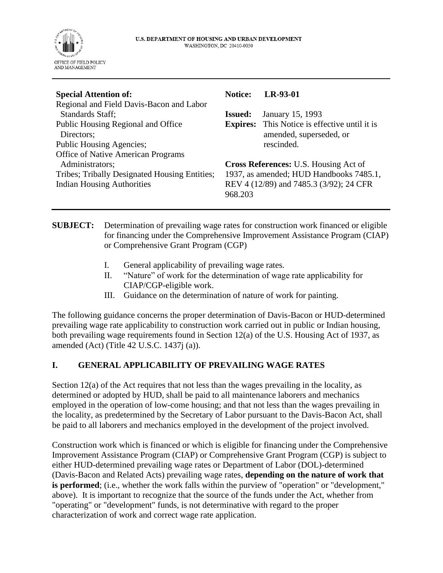

| <b>Special Attention of:</b>                  | <b>Notice:</b>                               | LR-93-01                                |
|-----------------------------------------------|----------------------------------------------|-----------------------------------------|
| Regional and Field Davis-Bacon and Labor      |                                              |                                         |
| Standards Staff;                              | <b>Issued:</b>                               | January 15, 1993                        |
| Public Housing Regional and Office            | <b>Expires:</b>                              | This Notice is effective until it is    |
| Directors;                                    |                                              | amended, superseded, or                 |
| Public Housing Agencies;                      |                                              | rescinded.                              |
| Office of Native American Programs            |                                              |                                         |
| Administrators;                               | <b>Cross References: U.S. Housing Act of</b> |                                         |
| Tribes; Tribally Designated Housing Entities; | 1937, as amended; HUD Handbooks 7485.1,      |                                         |
| <b>Indian Housing Authorities</b>             |                                              | REV 4 (12/89) and 7485.3 (3/92); 24 CFR |
|                                               | 968.203                                      |                                         |
|                                               |                                              |                                         |

**SUBJECT:** Determination of prevailing wage rates for construction work financed or eligible for financing under the Comprehensive Improvement Assistance Program (CIAP) or Comprehensive Grant Program (CGP)

- I. General applicability of prevailing wage rates.
- II. "Nature" of work for the determination of wage rate applicability for CIAP/CGP-eligible work.
- III. Guidance on the determination of nature of work for painting.

The following guidance concerns the proper determination of Davis-Bacon or HUD-determined prevailing wage rate applicability to construction work carried out in public or Indian housing, both prevailing wage requirements found in Section 12(a) of the U.S. Housing Act of 1937, as amended (Act) (Title 42 U.S.C. 1437j (a)).

### **I. GENERAL APPLICABILITY OF PREVAILING WAGE RATES**

Section 12(a) of the Act requires that not less than the wages prevailing in the locality, as determined or adopted by HUD, shall be paid to all maintenance laborers and mechanics employed in the operation of low-come housing; and that not less than the wages prevailing in the locality, as predetermined by the Secretary of Labor pursuant to the Davis-Bacon Act, shall be paid to all laborers and mechanics employed in the development of the project involved.

Construction work which is financed or which is eligible for financing under the Comprehensive Improvement Assistance Program (CIAP) or Comprehensive Grant Program (CGP) is subject to either HUD-determined prevailing wage rates or Department of Labor (DOL)-determined (Davis-Bacon and Related Acts) prevailing wage rates, **depending on the nature of work that**  is performed; (i.e., whether the work falls within the purview of "operation" or "development," above). It is important to recognize that the source of the funds under the Act, whether from "operating" or "development" funds, is not determinative with regard to the proper characterization of work and correct wage rate application.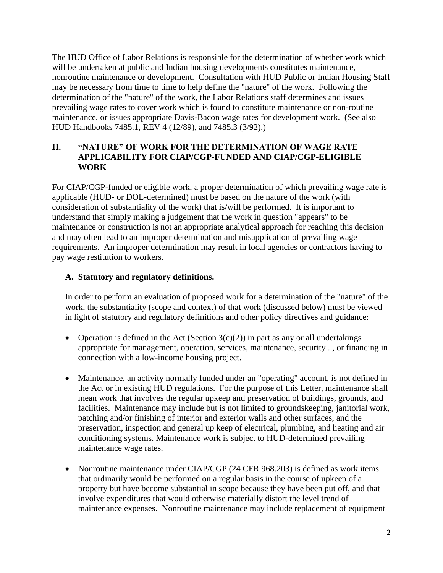The HUD Office of Labor Relations is responsible for the determination of whether work which will be undertaken at public and Indian housing developments constitutes maintenance, nonroutine maintenance or development. Consultation with HUD Public or Indian Housing Staff may be necessary from time to time to help define the "nature" of the work. Following the determination of the "nature" of the work, the Labor Relations staff determines and issues prevailing wage rates to cover work which is found to constitute maintenance or non-routine maintenance, or issues appropriate Davis-Bacon wage rates for development work. (See also HUD Handbooks 7485.1, REV 4 (12/89), and 7485.3 (3/92).)

# **II. "NATURE" OF WORK FOR THE DETERMINATION OF WAGE RATE APPLICABILITY FOR CIAP/CGP-FUNDED AND CIAP/CGP-ELIGIBLE WORK**

For CIAP/CGP-funded or eligible work, a proper determination of which prevailing wage rate is applicable (HUD- or DOL-determined) must be based on the nature of the work (with consideration of substantiality of the work) that is/will be performed. It is important to understand that simply making a judgement that the work in question "appears" to be maintenance or construction is not an appropriate analytical approach for reaching this decision and may often lead to an improper determination and misapplication of prevailing wage requirements. An improper determination may result in local agencies or contractors having to pay wage restitution to workers.

# **A. Statutory and regulatory definitions.**

In order to perform an evaluation of proposed work for a determination of the "nature" of the work, the substantiality (scope and context) of that work (discussed below) must be viewed in light of statutory and regulatory definitions and other policy directives and guidance:

- Operation is defined in the Act (Section  $3(c)(2)$ ) in part as any or all undertakings appropriate for management, operation, services, maintenance, security..., or financing in connection with a low-income housing project.
- Maintenance, an activity normally funded under an "operating" account, is not defined in the Act or in existing HUD regulations. For the purpose of this Letter, maintenance shall mean work that involves the regular upkeep and preservation of buildings, grounds, and facilities. Maintenance may include but is not limited to groundskeeping, janitorial work, patching and/or finishing of interior and exterior walls and other surfaces, and the preservation, inspection and general up keep of electrical, plumbing, and heating and air conditioning systems. Maintenance work is subject to HUD-determined prevailing maintenance wage rates.
- Nonroutine maintenance under CIAP/CGP (24 CFR 968.203) is defined as work items that ordinarily would be performed on a regular basis in the course of upkeep of a property but have become substantial in scope because they have been put off, and that involve expenditures that would otherwise materially distort the level trend of maintenance expenses. Nonroutine maintenance may include replacement of equipment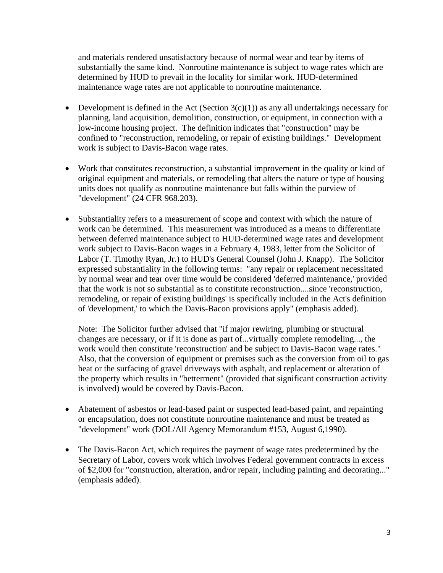and materials rendered unsatisfactory because of normal wear and tear by items of substantially the same kind. Nonroutine maintenance is subject to wage rates which are determined by HUD to prevail in the locality for similar work. HUD-determined maintenance wage rates are not applicable to nonroutine maintenance.

- Development is defined in the Act (Section  $3(c)(1)$ ) as any all undertakings necessary for planning, land acquisition, demolition, construction, or equipment, in connection with a low-income housing project. The definition indicates that "construction" may be confined to "reconstruction, remodeling, or repair of existing buildings." Development work is subject to Davis-Bacon wage rates.
- Work that constitutes reconstruction, a substantial improvement in the quality or kind of original equipment and materials, or remodeling that alters the nature or type of housing units does not qualify as nonroutine maintenance but falls within the purview of "development" (24 CFR 968.203).
- Substantiality refers to a measurement of scope and context with which the nature of work can be determined. This measurement was introduced as a means to differentiate between deferred maintenance subject to HUD-determined wage rates and development work subject to Davis-Bacon wages in a February 4, 1983, letter from the Solicitor of Labor (T. Timothy Ryan, Jr.) to HUD's General Counsel (John J. Knapp). The Solicitor expressed substantiality in the following terms: "any repair or replacement necessitated by normal wear and tear over time would be considered 'deferred maintenance,' provided that the work is not so substantial as to constitute reconstruction....since 'reconstruction, remodeling, or repair of existing buildings' is specifically included in the Act's definition of 'development,' to which the Davis-Bacon provisions apply" (emphasis added).

Note: The Solicitor further advised that "if major rewiring, plumbing or structural changes are necessary, or if it is done as part of...virtually complete remodeling..., the work would then constitute 'reconstruction' and be subject to Davis-Bacon wage rates." Also, that the conversion of equipment or premises such as the conversion from oil to gas heat or the surfacing of gravel driveways with asphalt, and replacement or alteration of the property which results in "betterment" (provided that significant construction activity is involved) would be covered by Davis-Bacon.

- Abatement of asbestos or lead-based paint or suspected lead-based paint, and repainting or encapsulation, does not constitute nonroutine maintenance and must be treated as "development" work (DOL/All Agency Memorandum #153, August 6,1990).
- The Davis-Bacon Act, which requires the payment of wage rates predetermined by the Secretary of Labor, covers work which involves Federal government contracts in excess of \$2,000 for "construction, alteration, and/or repair, including painting and decorating..." (emphasis added).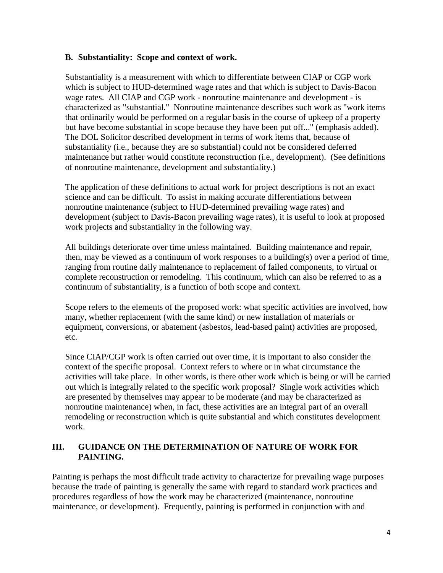#### **B. Substantiality: Scope and context of work.**

Substantiality is a measurement with which to differentiate between CIAP or CGP work which is subject to HUD-determined wage rates and that which is subject to Davis-Bacon wage rates. All CIAP and CGP work - nonroutine maintenance and development - is characterized as "substantial." Nonroutine maintenance describes such work as "work items that ordinarily would be performed on a regular basis in the course of upkeep of a property but have become substantial in scope because they have been put off..." (emphasis added). The DOL Solicitor described development in terms of work items that, because of substantiality (i.e., because they are so substantial) could not be considered deferred maintenance but rather would constitute reconstruction (i.e., development). (See definitions of nonroutine maintenance, development and substantiality.)

The application of these definitions to actual work for project descriptions is not an exact science and can be difficult. To assist in making accurate differentiations between nonroutine maintenance (subject to HUD-determined prevailing wage rates) and development (subject to Davis-Bacon prevailing wage rates), it is useful to look at proposed work projects and substantiality in the following way.

All buildings deteriorate over time unless maintained. Building maintenance and repair, then, may be viewed as a continuum of work responses to a building(s) over a period of time, ranging from routine daily maintenance to replacement of failed components, to virtual or complete reconstruction or remodeling. This continuum, which can also be referred to as a continuum of substantiality, is a function of both scope and context.

Scope refers to the elements of the proposed work: what specific activities are involved, how many, whether replacement (with the same kind) or new installation of materials or equipment, conversions, or abatement (asbestos, lead-based paint) activities are proposed, etc.

Since CIAP/CGP work is often carried out over time, it is important to also consider the context of the specific proposal. Context refers to where or in what circumstance the activities will take place. In other words, is there other work which is being or will be carried out which is integrally related to the specific work proposal? Single work activities which are presented by themselves may appear to be moderate (and may be characterized as nonroutine maintenance) when, in fact, these activities are an integral part of an overall remodeling or reconstruction which is quite substantial and which constitutes development work.

#### **III. GUIDANCE ON THE DETERMINATION OF NATURE OF WORK FOR PAINTING.**

Painting is perhaps the most difficult trade activity to characterize for prevailing wage purposes because the trade of painting is generally the same with regard to standard work practices and procedures regardless of how the work may be characterized (maintenance, nonroutine maintenance, or development). Frequently, painting is performed in conjunction with and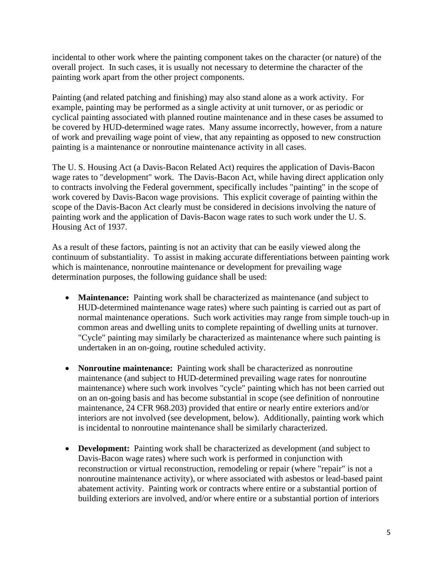incidental to other work where the painting component takes on the character (or nature) of the overall project. In such cases, it is usually not necessary to determine the character of the painting work apart from the other project components.

Painting (and related patching and finishing) may also stand alone as a work activity. For example, painting may be performed as a single activity at unit turnover, or as periodic or cyclical painting associated with planned routine maintenance and in these cases be assumed to be covered by HUD-determined wage rates. Many assume incorrectly, however, from a nature of work and prevailing wage point of view, that any repainting as opposed to new construction painting is a maintenance or nonroutine maintenance activity in all cases.

The U. S. Housing Act (a Davis-Bacon Related Act) requires the application of Davis-Bacon wage rates to "development" work. The Davis-Bacon Act, while having direct application only to contracts involving the Federal government, specifically includes "painting" in the scope of work covered by Davis-Bacon wage provisions. This explicit coverage of painting within the scope of the Davis-Bacon Act clearly must be considered in decisions involving the nature of painting work and the application of Davis-Bacon wage rates to such work under the U. S. Housing Act of 1937.

As a result of these factors, painting is not an activity that can be easily viewed along the continuum of substantiality. To assist in making accurate differentiations between painting work which is maintenance, nonroutine maintenance or development for prevailing wage determination purposes, the following guidance shall be used:

- **Maintenance:** Painting work shall be characterized as maintenance (and subject to HUD-determined maintenance wage rates) where such painting is carried out as part of normal maintenance operations. Such work activities may range from simple touch-up in common areas and dwelling units to complete repainting of dwelling units at turnover. "Cycle" painting may similarly be characterized as maintenance where such painting is undertaken in an on-going, routine scheduled activity.
- **Nonroutine maintenance:** Painting work shall be characterized as nonroutine maintenance (and subject to HUD-determined prevailing wage rates for nonroutine maintenance) where such work involves "cycle" painting which has not been carried out on an on-going basis and has become substantial in scope (see definition of nonroutine maintenance, 24 CFR 968.203) provided that entire or nearly entire exteriors and/or interiors are not involved (see development, below). Additionally, painting work which is incidental to nonroutine maintenance shall be similarly characterized.
- **Development:** Painting work shall be characterized as development (and subject to Davis-Bacon wage rates) where such work is performed in conjunction with reconstruction or virtual reconstruction, remodeling or repair (where "repair" is not a nonroutine maintenance activity), or where associated with asbestos or lead-based paint abatement activity. Painting work or contracts where entire or a substantial portion of building exteriors are involved, and/or where entire or a substantial portion of interiors